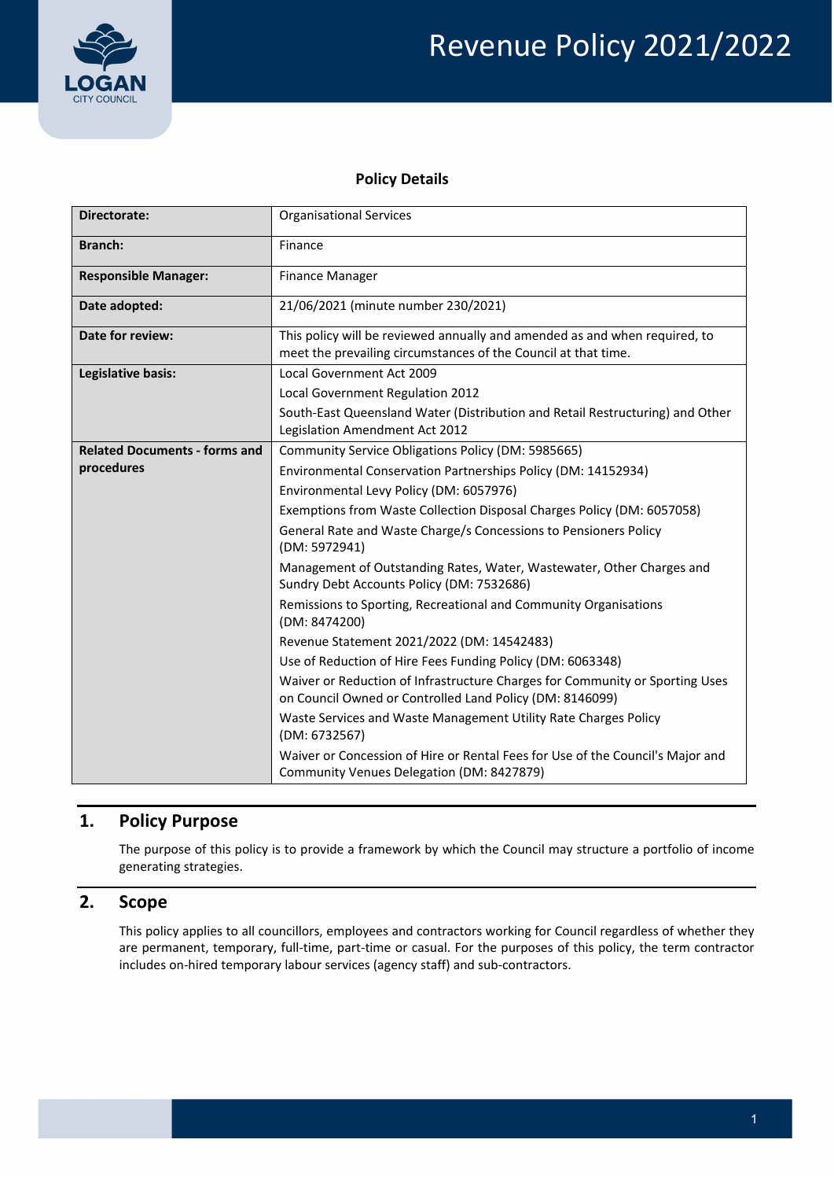

#### **Policy Details**

| Directorate:                         | <b>Organisational Services</b>                                                                                                               |  |  |
|--------------------------------------|----------------------------------------------------------------------------------------------------------------------------------------------|--|--|
| <b>Branch:</b>                       | Finance                                                                                                                                      |  |  |
| <b>Responsible Manager:</b>          | <b>Finance Manager</b>                                                                                                                       |  |  |
| Date adopted:                        | 21/06/2021 (minute number 230/2021)                                                                                                          |  |  |
| Date for review:                     | This policy will be reviewed annually and amended as and when required, to<br>meet the prevailing circumstances of the Council at that time. |  |  |
| Legislative basis:                   | Local Government Act 2009                                                                                                                    |  |  |
|                                      | Local Government Regulation 2012                                                                                                             |  |  |
|                                      | South-East Queensland Water (Distribution and Retail Restructuring) and Other<br>Legislation Amendment Act 2012                              |  |  |
| <b>Related Documents - forms and</b> | Community Service Obligations Policy (DM: 5985665)                                                                                           |  |  |
| procedures                           | Environmental Conservation Partnerships Policy (DM: 14152934)                                                                                |  |  |
|                                      | Environmental Levy Policy (DM: 6057976)                                                                                                      |  |  |
|                                      | Exemptions from Waste Collection Disposal Charges Policy (DM: 6057058)                                                                       |  |  |
|                                      | General Rate and Waste Charge/s Concessions to Pensioners Policy<br>(DM: 5972941)                                                            |  |  |
|                                      | Management of Outstanding Rates, Water, Wastewater, Other Charges and<br>Sundry Debt Accounts Policy (DM: 7532686)                           |  |  |
|                                      | Remissions to Sporting, Recreational and Community Organisations<br>(DM: 8474200)                                                            |  |  |
|                                      | Revenue Statement 2021/2022 (DM: 14542483)                                                                                                   |  |  |
|                                      | Use of Reduction of Hire Fees Funding Policy (DM: 6063348)                                                                                   |  |  |
|                                      | Waiver or Reduction of Infrastructure Charges for Community or Sporting Uses<br>on Council Owned or Controlled Land Policy (DM: 8146099)     |  |  |
|                                      | Waste Services and Waste Management Utility Rate Charges Policy<br>(DM: 6732567)                                                             |  |  |
|                                      | Waiver or Concession of Hire or Rental Fees for Use of the Council's Major and<br>Community Venues Delegation (DM: 8427879)                  |  |  |

# **1. Policy Purpose**

 The purpose of this policy is to provide a framework by which the Council may structure a portfolio of income generating strategies.

### **2. Scope**

 This policy applies to all councillors, employees and contractors working for Council regardless of whether they are permanent, temporary, full‐time, part‐time or casual. For the purposes of this policy, the term contractor includes on‐hired temporary labour services (agency staff) and sub‐contractors.